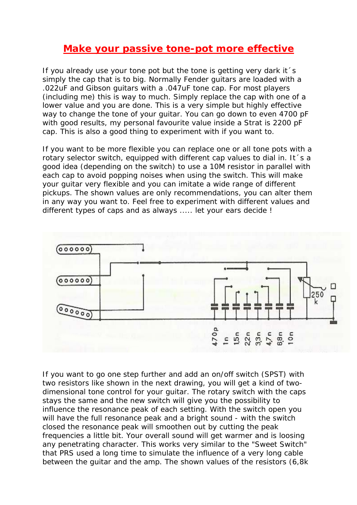## **Make your passive tone-pot more effective**

If you already use your tone pot but the tone is getting very dark it´s simply the cap that is to big. Normally Fender guitars are loaded with a .022uF and Gibson guitars with a .047uF tone cap. For most players (including me) this is way to much. Simply replace the cap with one of a lower value and you are done. This is a very simple but highly effective way to change the tone of your guitar. You can go down to even 4700 pF with good results, my personal favourite value inside a Strat is 2200 pF cap. This is also a good thing to experiment with if you want to.

If you want to be more flexible you can replace one or all tone pots with a rotary selector switch, equipped with different cap values to dial in. It´s a good idea (depending on the switch) to use a 10M resistor in parallel with each cap to avoid popping noises when using the switch. This will make your guitar very flexible and you can imitate a wide range of different pickups. The shown values are only recommendations, you can alter them in any way you want to. Feel free to experiment with different values and different types of caps and as always ..... let your ears decide !



If you want to go one step further and add an on/off switch (SPST) with two resistors like shown in the next drawing, you will get a kind of twodimensional tone control for your guitar. The rotary switch with the caps stays the same and the new switch will give you the possibility to influence the resonance peak of each setting. With the switch open you will have the full resonance peak and a bright sound - with the switch closed the resonance peak will smoothen out by cutting the peak frequencies a little bit. Your overall sound will get warmer and is loosing any penetrating character. This works very similar to the "Sweet Switch" that PRS used a long time to simulate the influence of a very long cable between the guitar and the amp. The shown values of the resistors (6,8k